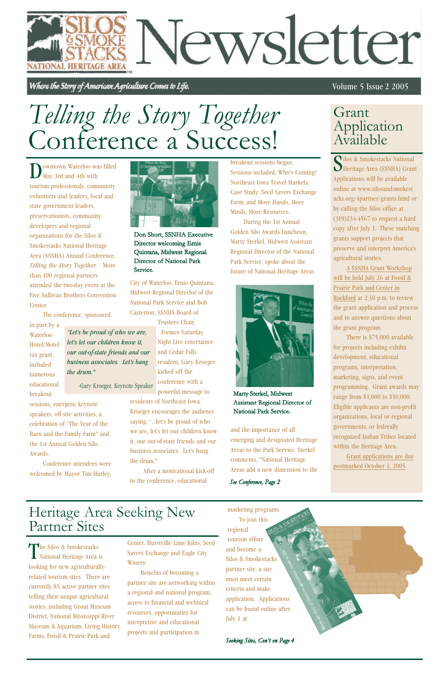

Where the Story of American Agriculture Comes to Life.

#### Volume 5 Issue 2 2005

owntown Waterloo was filled May 3rd and 4th with tourism professionals, community volunteers and leaders, local and state government leaders, preservationists, community developers and regional organizations for the Silos & Smokestacks National Heritage Area (SSNHA) Annual Conference, *Telling the Story Together.* More than 100 regional partners attended the two-day event at the Five Sullivan Brothers Convention Center.

The conference, sponsored

in part by a Waterloo Hotel/Motel tax grant, included numerous educational breakout

sessions, energetic keynote speakers, off-site activities, a celebration of "The Year of the Barn and the Family Farm" and the 1st Annual Golden Silo Awards.

Conference attendees were welcomed by Mayor Tim Hurley, City of Waterloo, Ernie Quintana, Midwest Regional Director of the National Park Service and Bob Casterton, SSNHA Board of

> Trustees Chair. Former Saturday Night Live entertainer and Cedar Falls resident, Gary Kroeger kicked off the conference with a powerful message to

Silos & Smokestacks National ilos & Smokestacks National Applications will be available online at www.silosandsmokest acks.org/4partner/grants.html or by calling the Silos office at (319)234-4567 to request a hard copy after July 1. These matching grants support projects that preserve and interpret America's agricultural stories.

residents of Northeast Iowa. Kroeger encourages the audience saying, "...let's be proud of who we are, let's let our children know it, our out-of-state friends and our business associates. Let's bang the drum."

After a motivational kick-off to the conference, educational

breakout sessions began. Sessions included, Who's Coming? Northeast Iowa Travel Markets; Case Study: Seed Savers Exchange Farm; and More Hands, More Minds, More Resources.

The Silos & Smokestacks **K** National Heritage Area is looking for new agriculturallyrelated tourism sites. There are currently 85 active partner sites telling their unique agricultural stories, including Grout Museum District, National Mississippi River Museum & Aquarium, Living History Farms, Fossil & Prairie Park and

During the 1st Annual Golden Silo Awards Luncheon, Marty Sterkel, Midwest Assistant Regional Director of the National Park Service, spoke about the future of National Heritage Areas

and the importance of all emerging and designated Heritage Areas to the Park Service. Sterkel comments, "National Heritage Areas add a new dimension to the

# *Telling the Story Together* Conference a Success!

A SSNHA Grant Workshop will be held July 26 at Fossil & Prairie Park and Center in Rockford at 2:30 p.m. to review the grant application and process and to answer questions about the grant program.

There is \$75,000 available for projects including exhibit development, educational programs, interpretation, marketing, signs, and event programming. Grant awards may range from \$1,000 to \$10,000. Eligible applicants are non-profit organizations, local or regional governments, or federally recognized Indian Tribes located within the Heritage Area.

Grant applications are due postmarked October 1, 2005.

Center, Hurstville Lime Kilns, Seed Savers Exchange and Eagle City Winery.

Benefits of becoming a partner site are networking within a regional and national program, access to financial and technical resources, opportunities for interpretive and educational projects and participation in

marketing programs. To join this regional tourism effort and become a Silos & Smokestacks partner site, a site must meet certain criteria and make application. Applications can be found online after July 1 at

## Grant Application Available

### Heritage Area Seeking New Partner Sites

*''Let's be proud of who we are, let's let our children know it, our out-of-state friends and our business associates. Let's bang the drum."*

-Gary Kroeger, Keynote Speaker



Don Short, SSNHA Executive Director welcoming Ernie Quintana, Midwest Regional Director of National Park Service.

*Seeking Sites, Con't on Page 4*



Marty Sterkel, Midwest Assistant Regional Director of National Park Service.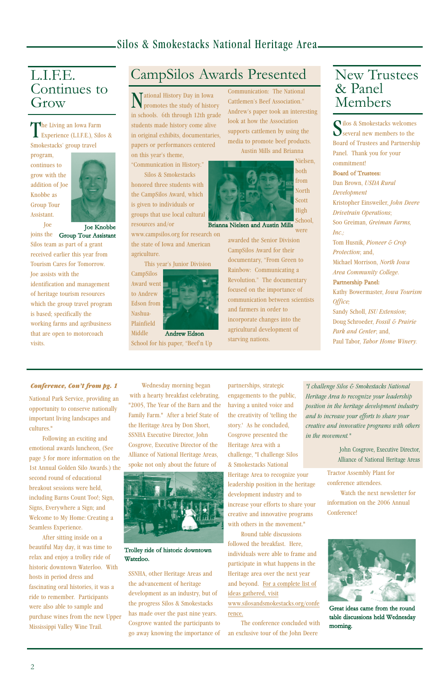### Silos & Smokestacks National Heritage Area

National Park Service, providing an opportunity to conserve nationally important living landscapes and cultures."

Following an exciting and emotional awards luncheon, (See page 3 for more information on the 1st Annual Golden Silo Awards.) the second round of educational breakout sessions were held, including Barns Count Too!; Sign, Signs, Everywhere a Sign; and Welcome to My Home: Creating a Seamless Experience. After sitting inside on a beautiful May day, it was time to relax and enjoy a trolley ride of historic downtown Waterloo. With hosts in period dress and fascinating oral histories, it was a ride to remember. Participants were also able to sample and purchase wines from the new Upper Mississippi Valley Wine Trail.

Wednesday morning began with a hearty breakfast celebrating, "2005, The Year of the Barn and the Family Farm." After a brief State of the Heritage Area by Don Short, SSNHA Executive Director, John Cosgrove, Executive Director of the Alliance of National Heritage Areas, spoke not only about the future of



The Living an Iowa Farm Experience (L.I.F.E.), Silos & Smokestacks' group travel

> SSNHA, other Heritage Areas and the advancement of heritage development as an industry, but of the progress Silos & Smokestacks has made over the past nine years. Cosgrove wanted the participants to go away knowing the importance of

National History Day in Iowa promotes the study of history in schools. 6th through 12th grade students made history come alive in original exhibits, documentaries, papers or performances centered on this year's theme,

> partnerships, strategic engagements to the public, having a united voice and the creativity of 'telling the story.' As he concluded, Cosgrove presented the Heritage Area with a challenge, "I challenge Silos & Smokestacks National Heritage Area to recognize your leadership position in the heritage development industry and to increase your efforts to share your creative and innovative programs with others in the movement." Round table discussions followed the breakfast. Here, individuals were able to frame and participate in what happens in the Heritage area over the next year and beyond. For a complete list of ideas gathered, visit www.silosandsmokestacks.org/confe rence.

> The conference concluded with an exclusive tour of the John Deere

Tractor Assembly Plant for conference attendees.

Watch the next newsletter for

information on the 2006 Annual Conference!

#### *Conference, Con't from pg. 1*

Silos & Smokestacks welcomes several new members to the Board of Trustees and Partnership Panel. Thank you for your commitment! Board of Trustees: Dan Brown, *USDA Rural Development* Kristopher Einsweiler, *John Deere Drivetrain Operations*; Soo Greiman, *Greiman Farms, Inc.;* Tom Husnik, *Pioneer & Crop Protection*; and,

program, continues to grow with the addition of Joe Knobbe as Group Tour Assistant.



Joe

joins the Group Tour Assistant Silos team as part of a grant received earlier this year from Tourism Cares for Tomorrow. Joe assists with the identification and management of heritage tourism resources which the group travel program is based; specifically the working farms and agribusiness that are open to motorcoach visits.

# L.I.F.E. Continues to Grow

Joe Knobbe

Trolley ride of historic downtown Waterloo.



Great ideas came from the round table discussions held Wednesday morning.

"Communication in History." Silos & Smokestacks

honored three students with the CampSilos Award, which is given to individuals or groups that use local cultural resources and/or

www.campsilos.org for research on the state of Iowa and American agriculture.

This year's Junior Division



Plainfield

Communication: The National Cattlemen's Beef Association." Andrew's paper took an interesting look at how the Association supports cattlemen by using the media to promote beef products. Austin Mills and Brianna

Middle School for his paper, "Beef'n Up Andrew Edson

awarded the Senior Division CampSilos Award for their documentary, "From Green to Rainbow: Communicating a Revolution." The documentary focused on the importance of communication between scientists and farmers in order to incorporate changes into the agricultural development of starving nations.



were Brianna Nielsen and Austin Mills

## CampSilos Awards Presented

Michael Morrison, *North Iowa Area Community College*.

#### Partnership Panel:

Kathy Bowermaster, *Iowa Tourism Office;* Sandy Scholl, *ISU Extension*; Doug Schroeder, *Fossil & Prairie Park and Center*; and,

Paul Tabor, *Tabor Home Winery.*

### New Trustees & Panel Members

*"I challenge Silos & Smokestacks National Heritage Area to recognize your leadership position in the heritage development industry and to increase your efforts to share your creative and innovative programs with others in the movement."*

> John Cosgrove, Executive Director, Alliance of National Heritage Areas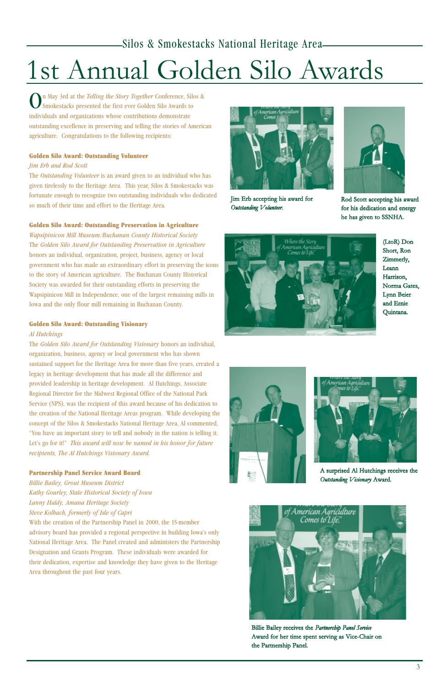On May 3rd at the *Telling the Story Together* Conference, Silos & Smokestacks presented the first ever Golden Silo Awards to individuals and organizations whose contributions demonstrate outstanding excellence in preserving and telling the stories of American agriculture. Congratulations to the following recipients:

#### Golden Silo Award: Outstanding Volunteer

#### *Jim Erb and Rod Scott*

The *Outstanding Volunteer* is an award given to an individual who has given tirelessly to the Heritage Area. This year, Silos & Smokestacks was fortunate enough to recognize two outstanding individuals who dedicated so much of their time and effort to the Heritage Area.

#### Golden Silo Award: Outstanding Preservation in Agriculture

*Wapsipinicon Mill Museum/Buchanan County Historical Society* The *Golden Silo Award for Outstanding Preservation in Agriculture* honors an individual, organization, project, business, agency or local government who has made an extraordinary effort in preserving the icons to the story of American agriculture. The Buchanan County Historical Society was awarded for their outstanding efforts in preserving the Wapsipinicon Mill in Independence, one of the largest remaining mills in Iowa and the only flour mill remaining in Buchanan County.

#### Golden Silo Award: Outstanding Visionary

#### *Al Hutchings*

The *Golden Silo Award for Outstanding Visionary* honors an individual, organization, business, agency or local government who has shown sustained support for the Heritage Area for more than five years, created a legacy in heritage development that has made all the difference and provided leadership in heritage development. Al Hutchings, Associate Regional Director for the Midwest Regional Office of the National Park Service (NPS), was the recipient of this award because of his dedication to the creation of the National Heritage Areas program. While developing the concept of the Silos & Smokestacks National Heritage Area, Al commented, "You have an important story to tell and nobody in the nation is telling it. Let's go for it!" *This award will now be named in his honor for future recipients, The Al Hutchings Visionary Award.*

#### Partnership Panel Service Award Board

*Billie Bailey, Grout Museum District Kathy Gourley, State Historical Society of Iowa*

#### *Lanny Haldy, Amana Heritage Society Steve Kolbach, formerly of Isle of Capri*

With the creation of the Partnership Panel in 2000, the 15-member advisory board has provided a regional perspective in building Iowa's only National Heritage Area. The Panel created and administers the Partnership Designation and Grants Program. These individuals were awarded for their dedication, expertise and knowledge they have given to the Heritage Area throughout the past four years.

# 1st Annual Golden Silo Awards

### Silos & Smokestacks National Heritage Area



(LtoR) Don Short, Ron Zimmerly, Leann Harrison, Norma Gates, Lynn Beier and Ernie Quintana.





Jim Erb accepting his award for *Outstanding Volunteer.*



Rod Scott accepting his award for his dedication and energy he has given to SSNHA.



A surprised Al Hutchings receives the *Outstanding Visionary* Award.



Billie Bailey receives the *Partnership Panel Service* Award for her time spent serving as Vice-Chair on the Partnership Panel.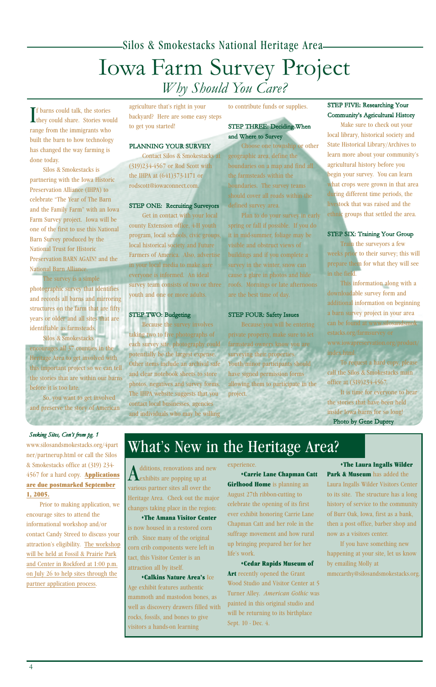If barns could talk, the stories<br>they could share. Stories wo **L**they could share. Stories would range from the immigrants who built the barn to how technology has changed the way farming is done today.

Silos & Smokestacks is partnering with the Iowa Historic Preservation Alliance (IHPA) to celebrate "The Year of The Barn and the Family Farm" with an Iowa Farm Survey project. Iowa will be one of the first to use this National Barn Survey produced by the National Trust for Historic Preservation BARN AGAIN! and the National Barn Alliance.

The survey is a simple photographic survey that identifies and records all barns and mirroring structures on the farm that are fifty years or older and all sites that are identifiable as farmsteads.

Silos & Smokestacks encourages all 37 counties in the Heritage Area to get involved with this important project so we can tell the stories that are within our barns before it is too late.

So, you want to get involved and preserve the story of American

agriculture that's right in your backyard? Here are some easy steps to get you started!

#### PLANNING YOUR SURVEY

Contact Silos & Smokestacks at (319)234-4567 or Rod Scott with the IHPA at (641)373-1171 or rodscott@iowaconnect.com.

#### STEP ONE: Recruiting Surveyors

Get in contact with your local county Extension office, 4-H youth program, local schools, civic groups, local historical society and Future Farmers of America. Also, advertise in your local media to make sure everyone is informed. An ideal survey team consists of two or three youth and one or more adults.

#### STEP TWO: Budgeting

Because the survey involves taking two to five photographs of each survey site, photography could potentially be the largest expense. Other items include an archival safe and clear notebook sheets to store photos, negatives and survey forms. The IHPA website suggests that you contact local businesses, agencies and individuals who may be willing

# Silos & Smokestacks National Heritage Area Iowa Farm Survey Project *Why Should You Care?*

Additions, renovations and new<br>exhibits are popping up at various partner sites all over the

to contribute funds or supplies.

#### STEP THREE: Deciding When and Where to Survey

Choose one township or other geographic area, define the boundaries on a map and find all the farmsteads within the boundaries. The survey teams should cover all roads within the defined survey area.

Plan to do your survey in early spring or fall if possible. If you do it in mid-summer, foliage may be visible and obstruct views of buildings and if you complete a survey in the winter, snow can cause a glare in photos and hide roofs. Mornings or late afternoons are the best time of day.

#### STEP FOUR: Safety Issues

Because you will be entering private property, make sure to let farmstead owners know you are surveying their properties. Youth/minor participants should have signed permission forms allowing them to participate in the project.

#### STEP FIVE: Researching Your Community's Agricultural History

Make sure to check out your local library, historical society and State Historical Library/Archives to learn more about your community's agricultural history before you begin your survey. You can learn what crops were grown in that area during different time periods, the livestock that was raised and the ethnic groups that settled the area.

#### STEP SIX: Training Your Group

Train the surveyors a few weeks prior to their survey; this will prepare them for what they will see in the field.

This information along with a downloadable survey form and additional information on beginning a barn survey project in your area can be found at www.silosandsmok estacks.org/farmsurvey or www.iowapreservation.org/product/ index.html.

To request a hard copy, please call the Silos & Smokestacks main office at (319)234-4567.

4

Heritage Area. Check out the major changes taking place in the region: -The Amana Visitor Center is now housed in a restored corn crib. Since many of the original corn crib components were left in tact, this Visitor Center is an attraction all by itself.

-Calkins Nature Area's Ice Age exhibit features authentic mammoth and mastodon bones, as well as discovery drawers filled with rocks, fossils, and bones to give visitors a hands-on learning

experience.

It is time for everyone to hear the stories that have been held inside Iowa barns for so long! Photo by Gene Duprey

-Carrie Lane Chapman Catt **Girlhood Home** is planning an August 27th ribbon-cutting to celebrate the opening of its first ever exhibit honoring Carrie Lane Chapman Catt and her role in the suffrage movement and how rural up bringing prepared her for her life's work.

-Cedar Rapids Museum of Art recently opened the Grant Wood Studio and Visitor Center at 5 Turner Alley. *American Gothic* was painted in this original studio and will be returning to its birthplace Sept. 10 - Dec. 4.

-The Laura Ingalls Wilder **Park & Museum** has added the Laura Ingalls Wilder Visitors Center to its site. The structure has a long history of service to the community of Burr Oak, Iowa, first as a bank, then a post office, barber shop and now as a visitors center.

If you have something new happening at your site, let us know by emailing Molly at mmccarthy@silosandsmokestacks.org.

# What's New in the Heritage Area?

www.silosandsmokestacks.org/4part ner/partnerup.html or call the Silos & Smokestacks office at (319) 234- 4567 for a hard copy. **Applications** are due postmarked September

#### 1, 2005.

Prior to making application, we encourage sites to attend the informational workshop and/or contact Candy Streed to discuss your attraction's eligibility. The workshop will be held at Fossil & Prairie Park and Center in Rockford at 1:00 p.m. on July 26 to help sites through the partner application process.

#### *Seeking Sites, Con't from pg. 1*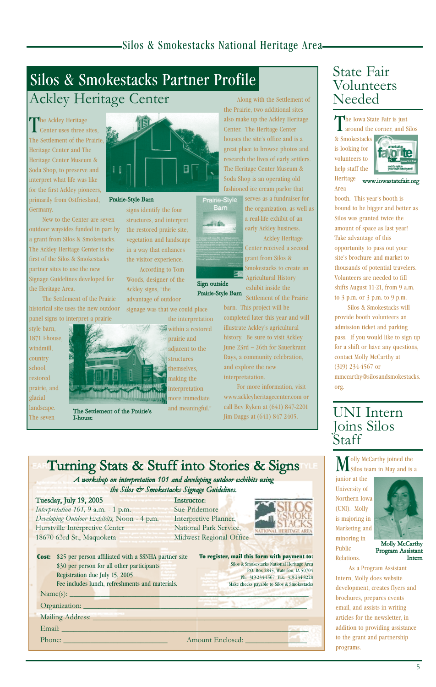The Ackley Heritage<br>Center uses three sites, The Settlement of the Prairie, Heritage Center and The Heritage Center Museum & Soda Shop, to preserve and interpret what life was like for the first Ackley pioneers, primarily from Ostfriesland, Germany.

New to the Center are seven outdoor waysides funded in part by a grant from Silos & Smokestacks. The Ackley Heritage Center is the first of the Silos & Smokestacks partner sites to use the new Signage Guidelines developed for the Heritage Area.

> **Within a restored** prairie and adjacent to the structures themselves, making the interpretation more immediate and meaningful."

The Settlement of the Prairie historical site uses the new outdoor panel signs to interpret a prairie-

style barn, 1871 I-house, windmill, country school, restored prairie, and glacial landscape. The seven



serves as a fundraiser for Prairie-Style

signs identify the four structures, and interpret the restored prairie site, vegetation and landscape in a way that enhances the visitor experience. According to Tom

Woods, designer of the Ackley signs, "the advantage of outdoor

signage was that we could place the interpretation

# Silos & Smokestacks Partner Profile Ackley Heritage Center

The Iowa State Fair is just around the corner, and Silos

Along with the Settlement of the Prairie, two additional sites also make up the Ackley Heritage Center. The Heritage Center houses the site's office and is a great place to browse photos and research the lives of early settlers. The Heritage Center Museum & Soda Shop is an operating old fashioned ice cream parlor that

> the organization, as well as a real-life exhibit of an early Ackley business.

B Sign outside

Barn

#### Tuesday, July 19, 2005 **Instructor:**

Ackley Heritage Center received a second grant from Silos & Smokestacks to create an Agricultural History exhibit inside the

barn. This project will be completed later this year and will illustrate Ackley's agricultural history. Be sure to visit Ackley June 23rd – 26th for Sauerkraut Days, a community celebration, and explore the new interpretatation.

For more information, visit www.ackleyheritagecenter.com or call Bev Ryken at (641) 847-2201 Jim Daggs at (641) 847-2405.



junior at the University of Northern Iowa (UNI). Molly is majoring in Marketing and minoring in Public Relations. As a Program Assistant Intern, Molly does website development, creates flyers and brochures, prepares events email, and assists in writing articles for the newsletter, in addition to providing assistance to the grant and partnership programs.



Settlement of the Prairie Prairie-Style Barn

& Smokestacks is looking for volunteers to help staff the Heritage

Area



booth. This year's booth is bound to be bigger and better as Silos was granted twice the amount of space as last year! Take advantage of this opportunity to pass out your site's brochure and market to thousands of potential travelers. Volunteers are needed to fill shifts August 11-21, from 9 a.m. to 3 p.m. or 3 p.m. to 9 p.m.

Silos & Smokestacks will provide booth volunteers an admission ticket and parking pass. If you would like to sign up for a shift or have any questions, contact Molly McCarthy at (319) 234-4567 or mmccarthy@silosandsmokestacks. org.

# State Fair Volunteers Needed

## UNI Intern Joins Silos Staff

#### Prairie-Style Barn

| \$25 per person affiliated with a SSNHA partner site<br>Cost:<br>\$30 per person for all other participants<br>Registration due July 15, 2005<br>Fee includes lunch, refreshments and materials.<br>$Name(s):$ $\qquad \qquad$                  | To register, mail this form with payment to:<br>Silos & Smokestacks National Heritage Area<br>P.O. Box 2845, Waterloo, IA 50704<br>Ph: 319-234-4567 Fax: 319-234-8228<br>Make checks payable to Silos & Smokestacks |
|-------------------------------------------------------------------------------------------------------------------------------------------------------------------------------------------------------------------------------------------------|---------------------------------------------------------------------------------------------------------------------------------------------------------------------------------------------------------------------|
|                                                                                                                                                                                                                                                 |                                                                                                                                                                                                                     |
| Email: Email:<br>Phone: New York Changes and Changes and Changes and Changes and Changes and Changes and Changes and Changes and Changes and Changes and Changes and Changes and Changes and Changes and Changes and Changes and Changes and Ch | Amount Enclosed:                                                                                                                                                                                                    |

*A workshop on interpretation 101 and developing outdoor exhibits using the Silos & Smokestacks Signage Guidelines.*

# Turning Stats & Stuff into Stories & Signs

Molly McCarthy Program Assistant Intern

www.iowastatefair.org

The Settlement of the Prairie's



I-house

*Interpretation 101, 9 a.m. - 1 p.m.* Sue Pridemore *Developing Outdoor Exhibits,* Noon - 4 p.m. Interpretive Planner, Hurstville Interpretive Center National Park Service, 18670 63rd St., Maquoketa Midwest Regional Office